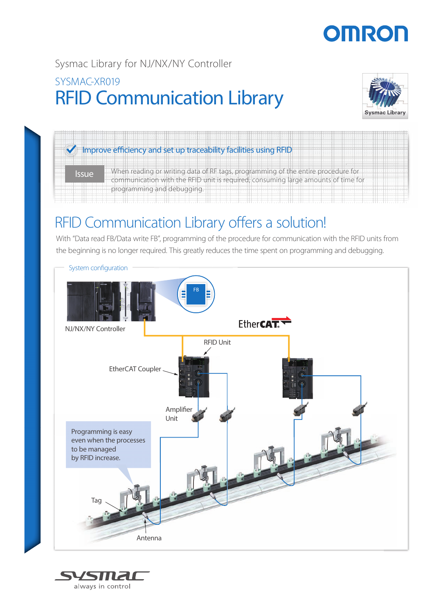# OMROF

### RFID Communication Library Sysmac Library for NJ/NX/NY Controller SYSMAC-XR019



## $\blacktriangledown$  Improve efficiency and set up traceability facilities using RFID

Issue When reading or writing data of RF tags, programming of the entire procedure for communication with the RFID unit is required, consuming large amounts of time for programming and debugging.

## RFID Communication Library offers a solution!

With "Data read FB/Data write FB", programming of the procedure for communication with the RFID units from the beginning is no longer required. This greatly reduces the time spent on programming and debugging.